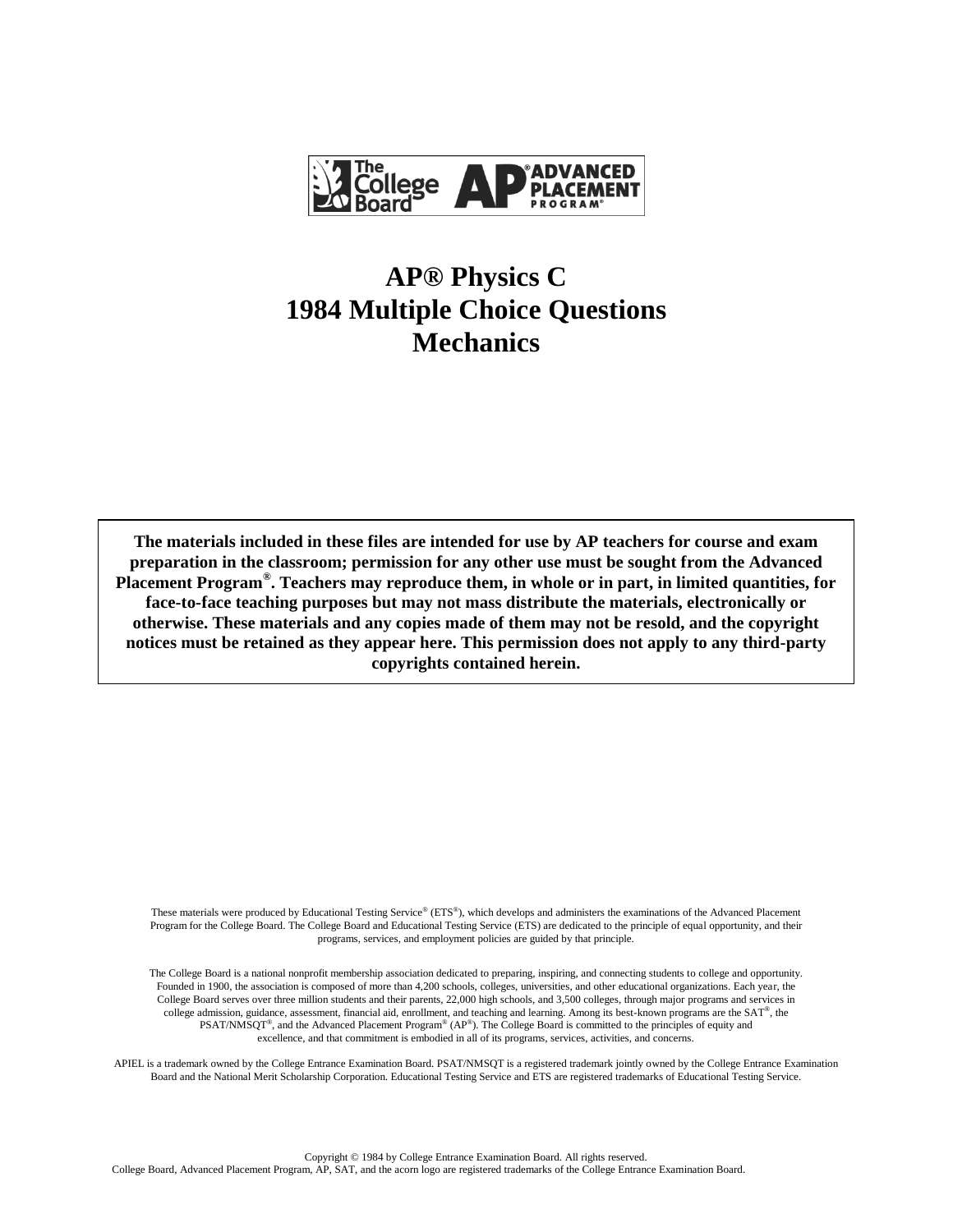

## **AP® Physics C 1984 Multiple Choice Questions Mechanics**

**The materials included in these files are intended for use by AP teachers for course and exam preparation in the classroom; permission for any other use must be sought from the Advanced Placement Program® . Teachers may reproduce them, in whole or in part, in limited quantities, for face-to-face teaching purposes but may not mass distribute the materials, electronically or otherwise. These materials and any copies made of them may not be resold, and the copyright notices must be retained as they appear here. This permission does not apply to any third-party copyrights contained herein.**

These materials were produced by Educational Testing Service® (ETS®), which develops and administers the examinations of the Advanced Placement Program for the College Board. The College Board and Educational Testing Service (ETS) are dedicated to the principle of equal opportunity, and their programs, services, and employment policies are guided by that principle.

The College Board is a national nonprofit membership association dedicated to preparing, inspiring, and connecting students to college and opportunity. Founded in 1900, the association is composed of more than 4,200 schools, colleges, universities, and other educational organizations. Each year, the College Board serves over three million students and their parents, 22,000 high schools, and 3,500 colleges, through major programs and services in college admission, guidance, assessment, financial aid, enrollment, and teaching and learning. Among its best-known programs are the SAT®, the  $PSAT/NMSQT^{\circ}$ , and the Advanced Placement Program<sup>®</sup> (AP<sup>®</sup>). The College Board is committed to the principles of equity and excellence, and that commitment is embodied in all of its programs, services, activities, and concerns.

APIEL is a trademark owned by the College Entrance Examination Board. PSAT/NMSQT is a registered trademark jointly owned by the College Entrance Examination Board and the National Merit Scholarship Corporation. Educational Testing Service and ETS are registered trademarks of Educational Testing Service.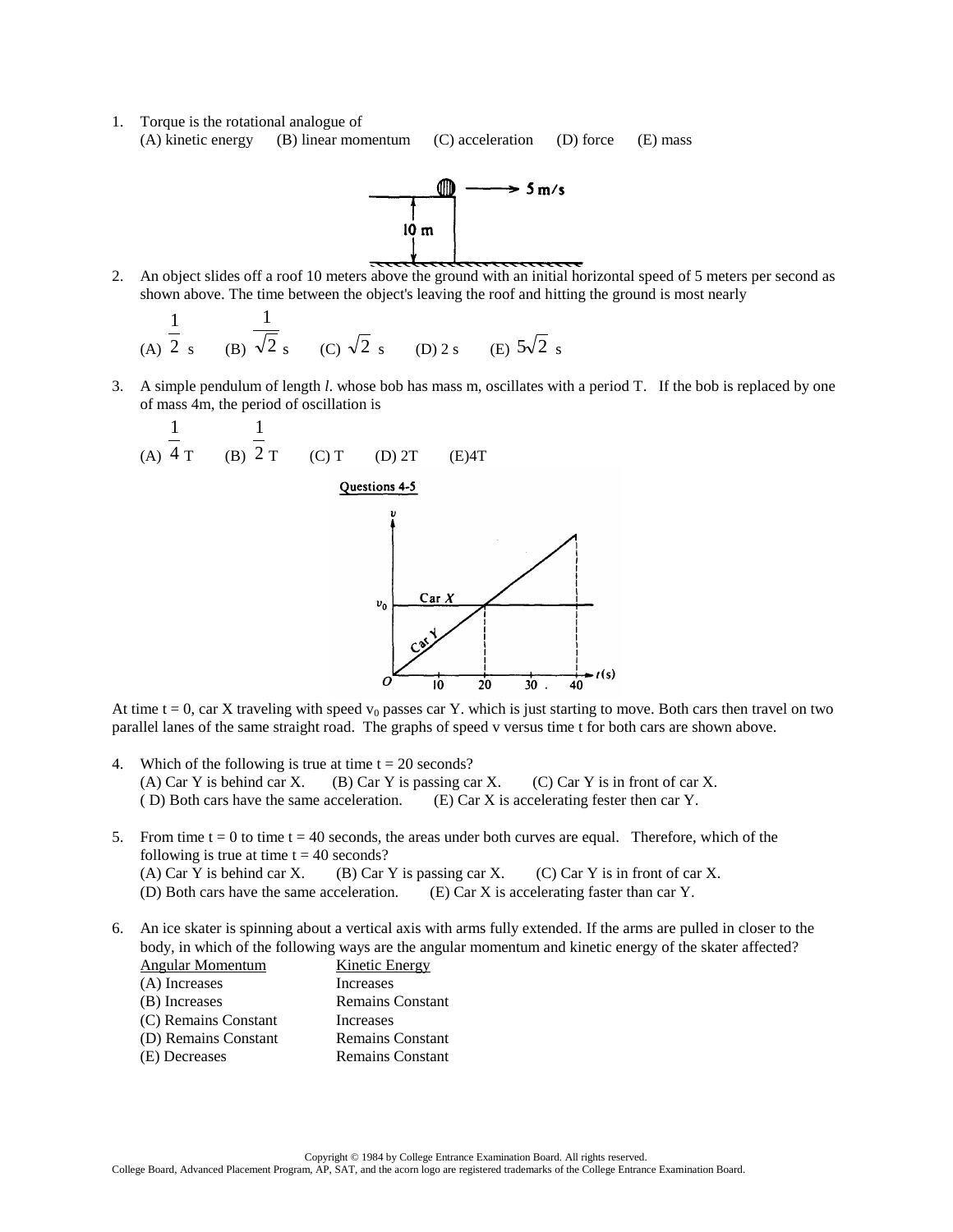1. Torque is the rotational analogue of (A) kinetic energy (B) linear momentum (C) acceleration (D) force (E) mass



2. An object slides off a roof 10 meters above the ground with an initial horizontal speed of 5 meters per second as shown above. The time between the object's leaving the roof and hitting the ground is most nearly

(A) 
$$
\frac{1}{2}
$$
 s (B)  $\frac{1}{\sqrt{2}}$  s (C)  $\sqrt{2}$  s (D) 2 s (E)  $5\sqrt{2}$  s

3. A simple pendulum of length *l*. whose bob has mass m, oscillates with a period T. If the bob is replaced by one of mass 4m, the period of oscillation is



At time t = 0, car X traveling with speed  $v_0$  passes car Y. which is just starting to move. Both cars then travel on two parallel lanes of the same straight road. The graphs of speed v versus time t for both cars are shown above.

- 4. Which of the following is true at time  $t = 20$  seconds? (A) Car Y is behind car X. (B) Car Y is passing car X. (C) Car Y is in front of car X. ( D) Both cars have the same acceleration. (E) Car X is accelerating fester then car Y.
- 5. From time  $t = 0$  to time  $t = 40$  seconds, the areas under both curves are equal. Therefore, which of the following is true at time  $t = 40$  seconds? (A) Car Y is behind car X. (B) Car Y is passing car X. (C) Car Y is in front of car X. (D) Both cars have the same acceleration. (E) Car X is accelerating faster than car Y.
- 6. An ice skater is spinning about a vertical axis with arms fully extended. If the arms are pulled in closer to the body, in which of the following ways are the angular momentum and kinetic energy of the skater affected?<br>Angular Momentum Kinetic Energy Angular Momentum

| Aligulai Monichtum   | KINGUC LIICI gy         |
|----------------------|-------------------------|
| (A) Increases        | Increases               |
| (B) Increases        | <b>Remains Constant</b> |
| (C) Remains Constant | Increases               |
| (D) Remains Constant | <b>Remains Constant</b> |
| (E) Decreases        | Remains Constant        |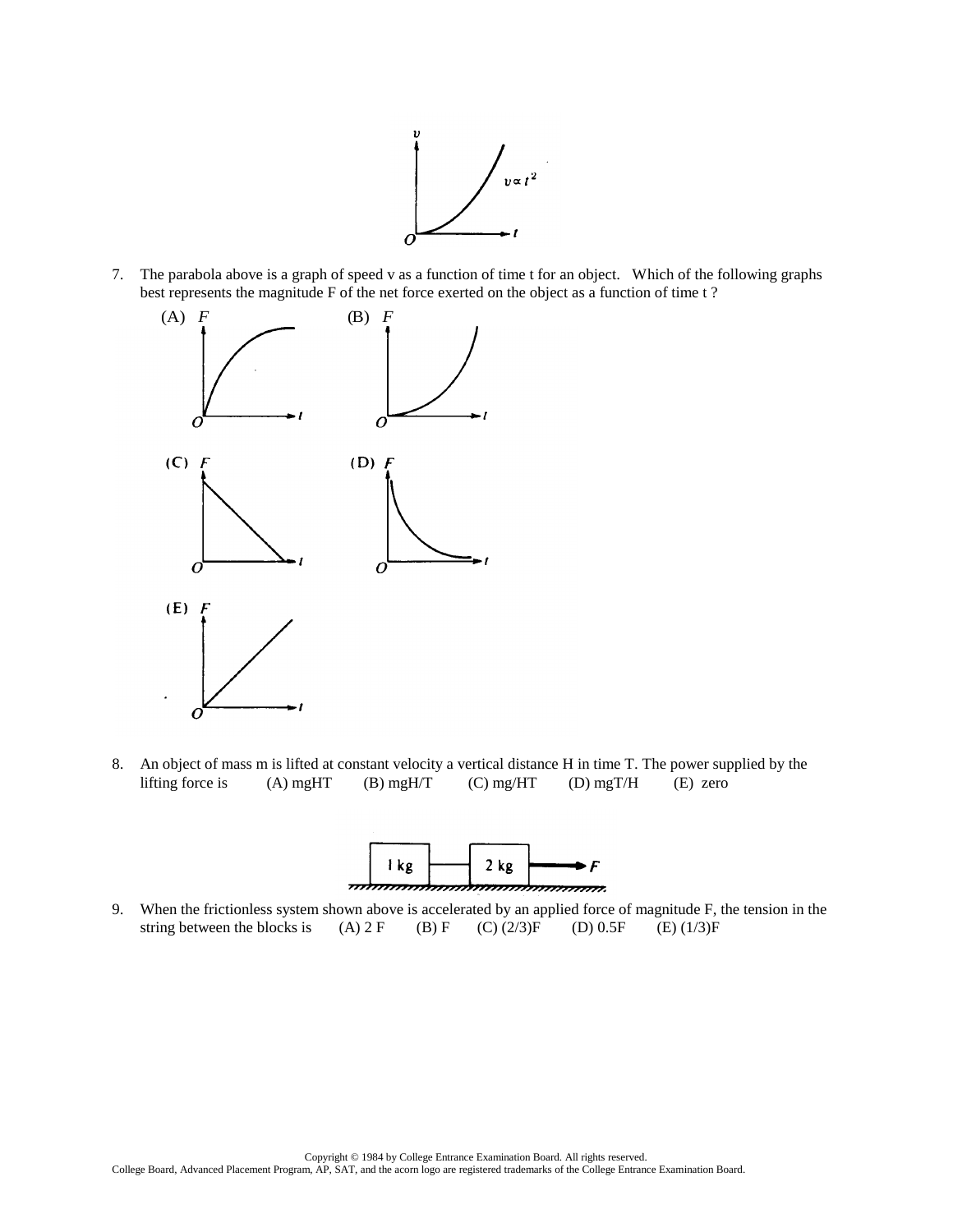

7. The parabola above is a graph of speed v as a function of time t for an object. Which of the following graphs best represents the magnitude F of the net force exerted on the object as a function of time t ?



8. An object of mass m is lifted at constant velocity a vertical distance H in time T. The power supplied by the lifting force is (A) mgHT (B) mgH/T (C) mg/HT (D) mgT/H (E) zero



9. When the frictionless system shown above is accelerated by an applied force of magnitude F, the tension in the string between the blocks is (A)  $2 F$  (B)  $F$  (C) (2/3) $F$  (D) 0.5F (E) (1/3) $F$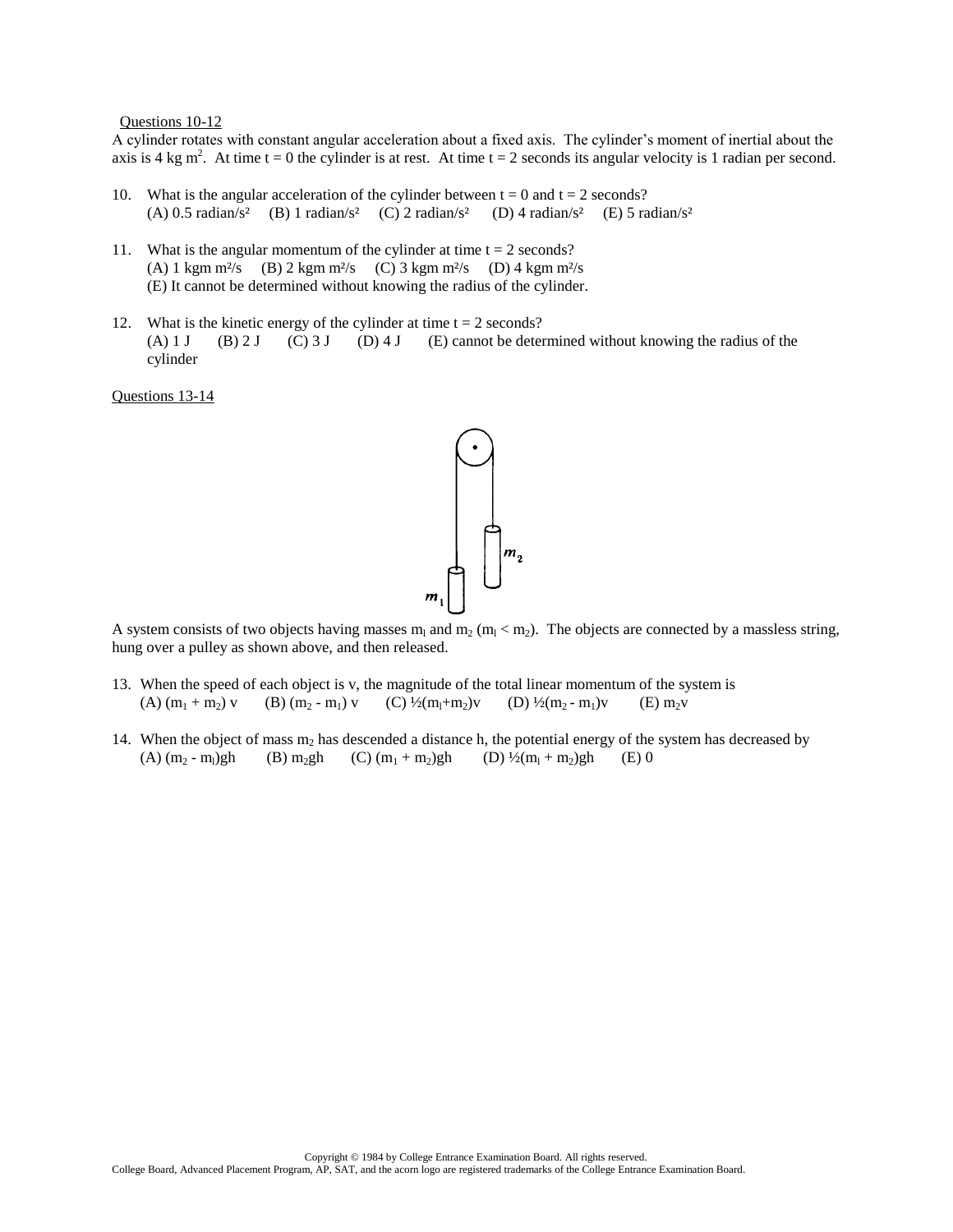Questions 10-12

A cylinder rotates with constant angular acceleration about a fixed axis. The cylinder's moment of inertial about the axis is 4 kg m<sup>2</sup>. At time t = 0 the cylinder is at rest. At time t = 2 seconds its angular velocity is 1 radian per second.

- 10. What is the angular acceleration of the cylinder between  $t = 0$  and  $t = 2$  seconds? (A) 0.5 radian/s<sup>2</sup> (B) 1 radian/s<sup>2</sup> (C) 2 radian/s<sup>2</sup> (D) 4 radian/s<sup>2</sup> (E) 5 radian/s<sup>2</sup>
- 11. What is the angular momentum of the cylinder at time  $t = 2$  seconds? (A) 1 kgm m<sup>2</sup>/s (B) 2 kgm m<sup>2</sup>/s (C) 3 kgm m<sup>2</sup>/s (D) 4 kgm m<sup>2</sup>/s (E) It cannot be determined without knowing the radius of the cylinder.
- 12. What is the kinetic energy of the cylinder at time  $t = 2$  seconds? (A) 1 J (B) 2 J (C) 3 J (D) 4 J (E) cannot be determined without knowing the radius of the cylinder

Questions 13-14



A system consists of two objects having masses  $m_1$  and  $m_2$  ( $m_1 < m_2$ ). The objects are connected by a massless string, hung over a pulley as shown above, and then released.

- 13. When the speed of each object is v, the magnitude of the total linear momentum of the system is (A)  $(m_1 + m_2)$  v (B)  $(m_2 - m_1)$  v (C)  $\frac{1}{2}(m_1 + m_2)v$  (D)  $\frac{1}{2}(m_2 - m_1)v$  (E)  $m_2v$
- 14. When the object of mass  $m_2$  has descended a distance h, the potential energy of the system has decreased by (A)  $(m_2 - m_1)gh$  (B)  $m_2gh$  (C)  $(m_1 + m_2)gh$  (D)  $\frac{1}{2}(m_1 + m_2)gh$  (E) 0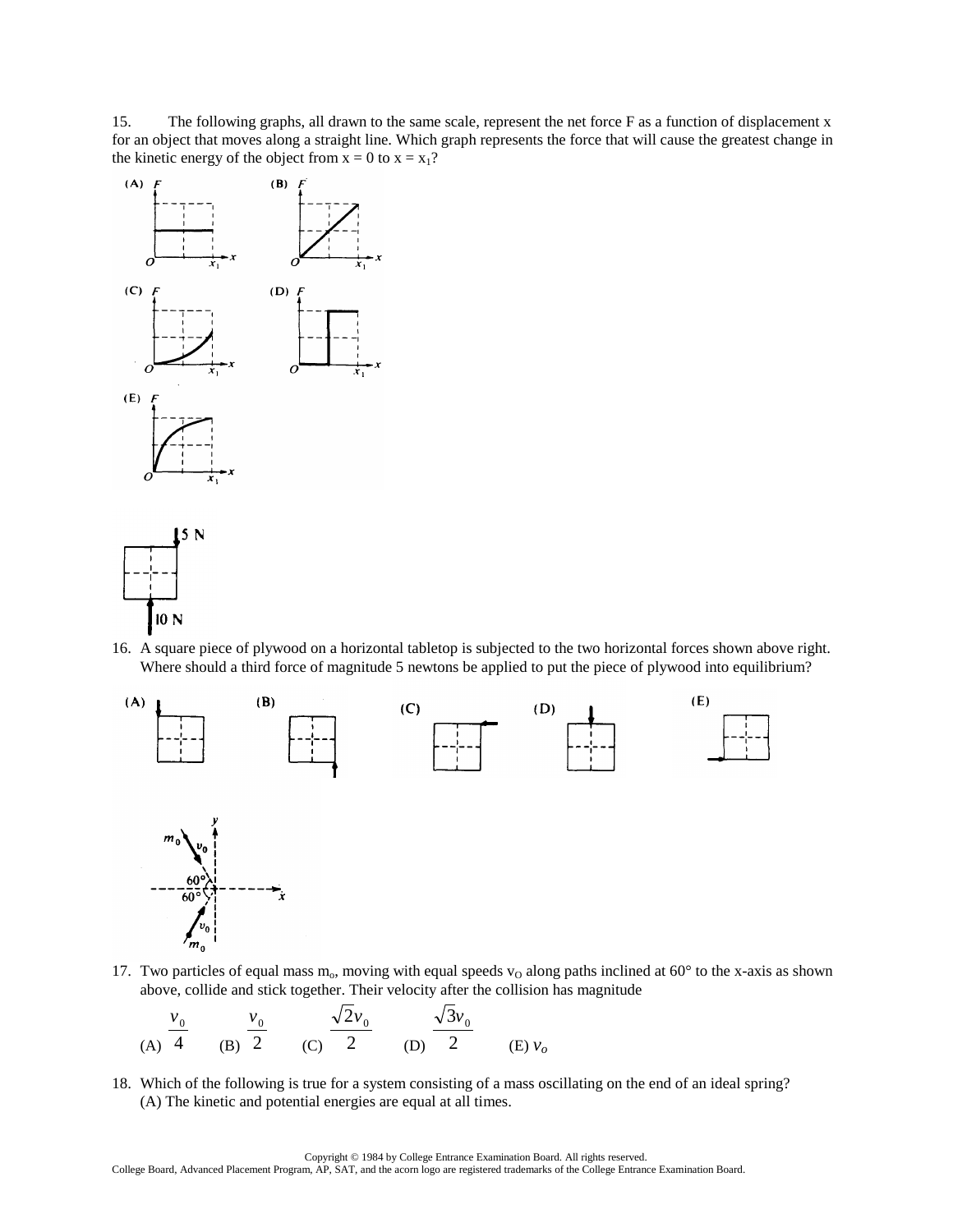15. The following graphs, all drawn to the same scale, represent the net force F as a function of displacement x for an object that moves along a straight line. Which graph represents the force that will cause the greatest change in the kinetic energy of the object from  $x = 0$  to  $x = x_1$ ?





16. A square piece of plywood on a horizontal tabletop is subjected to the two horizontal forces shown above right. Where should a third force of magnitude 5 newtons be applied to put the piece of plywood into equilibrium?



17. Two particles of equal mass  $m_0$ , moving with equal speeds  $v_0$  along paths inclined at 60° to the x-axis as shown above, collide and stick together. Their velocity after the collision has magnitude



18. Which of the following is true for a system consisting of a mass oscillating on the end of an ideal spring? (A) The kinetic and potential energies are equal at all times.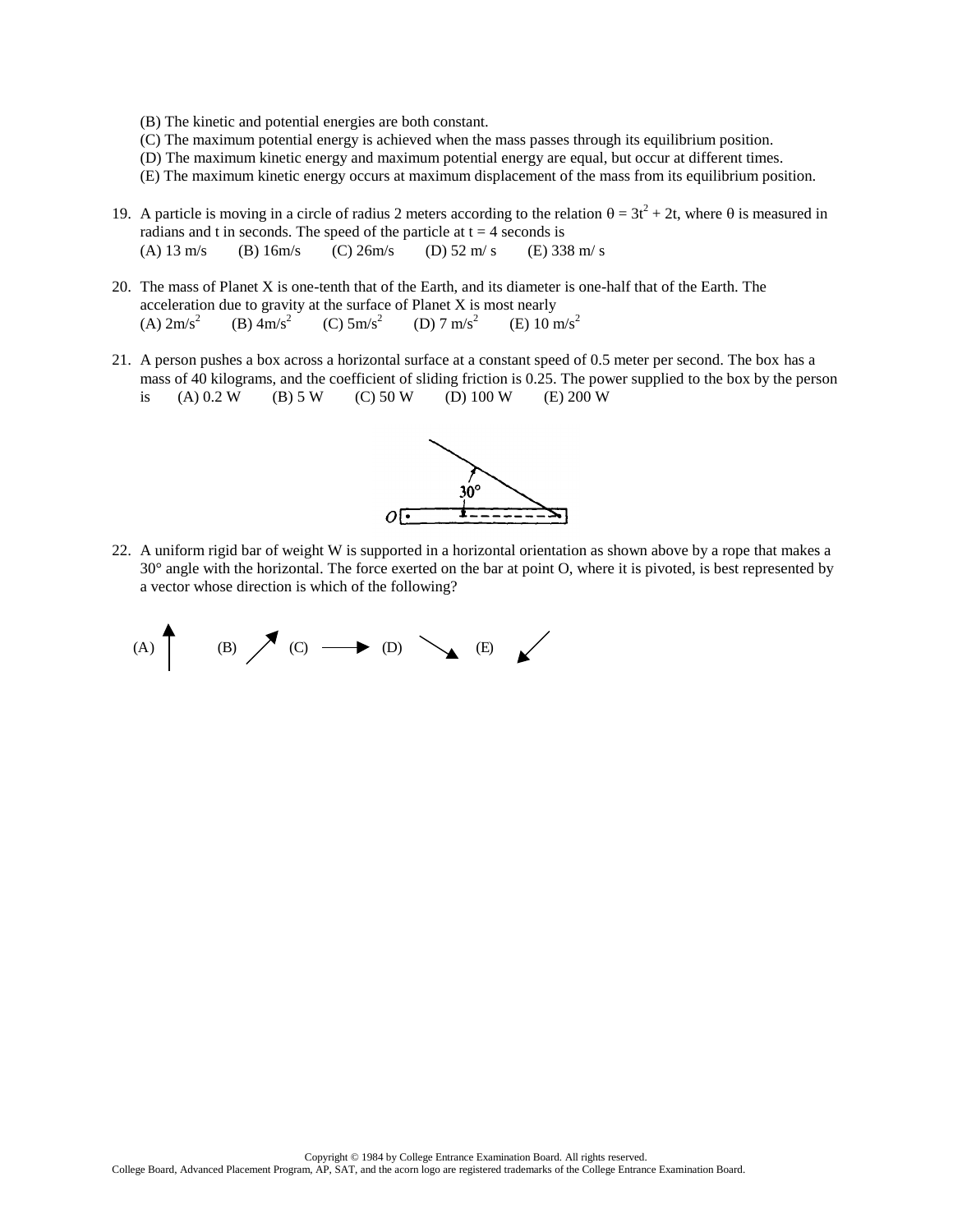- (B) The kinetic and potential energies are both constant.
- (C) The maximum potential energy is achieved when the mass passes through its equilibrium position.
- (D) The maximum kinetic energy and maximum potential energy are equal, but occur at different times.
- (E) The maximum kinetic energy occurs at maximum displacement of the mass from its equilibrium position.
- 19. A particle is moving in a circle of radius 2 meters according to the relation  $\theta = 3t^2 + 2t$ , where  $\theta$  is measured in radians and t in seconds. The speed of the particle at  $t = 4$  seconds is (A)  $13 \text{ m/s}$  (B)  $16 \text{ m/s}$  (C)  $26 \text{ m/s}$  (D)  $52 \text{ m/s}$  (E)  $338 \text{ m/s}$
- 20. The mass of Planet X is one-tenth that of the Earth, and its diameter is one-half that of the Earth. The acceleration due to gravity at the surface of Planet X is most nearly  $(A)$  2m/s<sup>2</sup> (B)  $4 \text{m/s}^2$  (C)  $5 \text{m/s}^2$  (D)  $7 \text{m/s}^2$ (E)  $10 \text{ m/s}^2$
- 21. A person pushes a box across a horizontal surface at a constant speed of 0.5 meter per second. The box has a mass of 40 kilograms, and the coefficient of sliding friction is 0.25. The power supplied to the box by the person is (A)  $0.2 \text{ W}$  (B)  $5 \text{ W}$  (C)  $50 \text{ W}$  (D)  $100 \text{ W}$  (E)  $200 \text{ W}$



22. A uniform rigid bar of weight W is supported in a horizontal orientation as shown above by a rope that makes a 30° angle with the horizontal. The force exerted on the bar at point O, where it is pivoted, is best represented by a vector whose direction is which of the following?

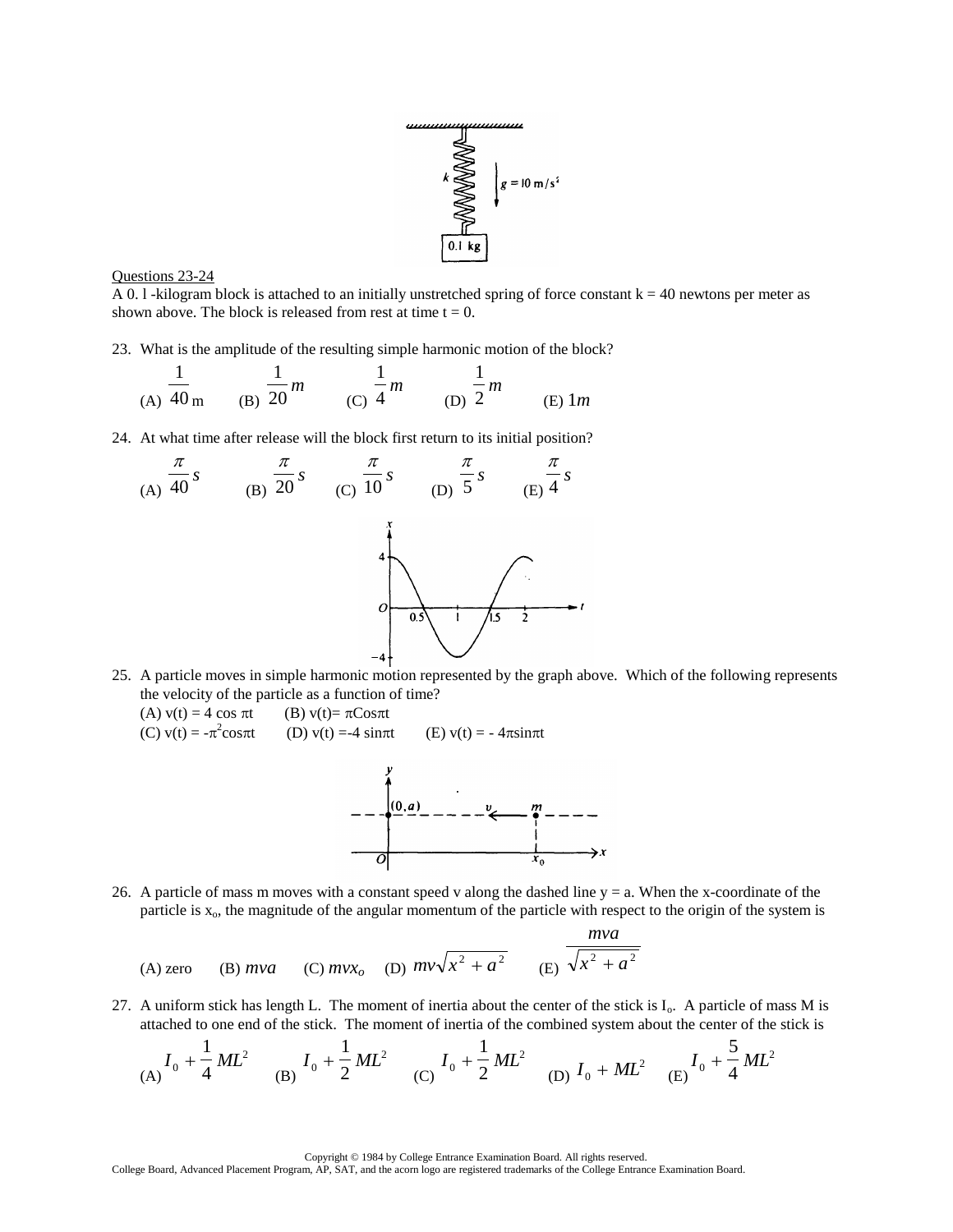



A 0. l -kilogram block is attached to an initially unstretched spring of force constant  $k = 40$  newtons per meter as shown above. The block is released from rest at time  $t = 0$ .

23. What is the amplitude of the resulting simple harmonic motion of the block?

(A) 
$$
\frac{1}{40}
$$
 (B)  $\frac{1}{20}$  m (C)  $\frac{1}{4}$  m (D)  $\frac{1}{2}$  m (E) 1m

24. At what time after release will the block first return to its initial position?



- 25. A particle moves in simple harmonic motion represented by the graph above. Which of the following represents the velocity of the particle as a function of time?
	- (A)  $v(t) = 4 \cos \pi t$  (B)  $v(t) = \pi C \cos \pi t$ (C)  $v(t) = -\pi^2$ (D)  $v(t) = -4 \sin \pi t$  (E)  $v(t) = -4 \pi \sin \pi t$



26. A particle of mass m moves with a constant speed v along the dashed line y = a. When the x-coordinate of the particle is  $x<sub>o</sub>$ , the magnitude of the angular momentum of the particle with respect to the origin of the system is

(A) zero (B) *mv* a (C) *mvx<sub>o</sub>* (D) 
$$
mv\sqrt{x^2 + a^2}
$$
 (E)  $\frac{mva}{\sqrt{x^2 + a^2}}$ 

27. A uniform stick has length L. The moment of inertia about the center of the stick is  $I_0$ . A particle of mass M is attached to one end of the stick. The moment of inertia of the combined system about the center of the stick is

(A) 
$$
I_0 + \frac{1}{4}ML^2
$$
 (B)  $I_0 + \frac{1}{2}ML^2$  (C)  $I_0 + \frac{1}{2}ML^2$  (D)  $I_0 + ML^2$  (E)  $I_0 + \frac{5}{4}ML^2$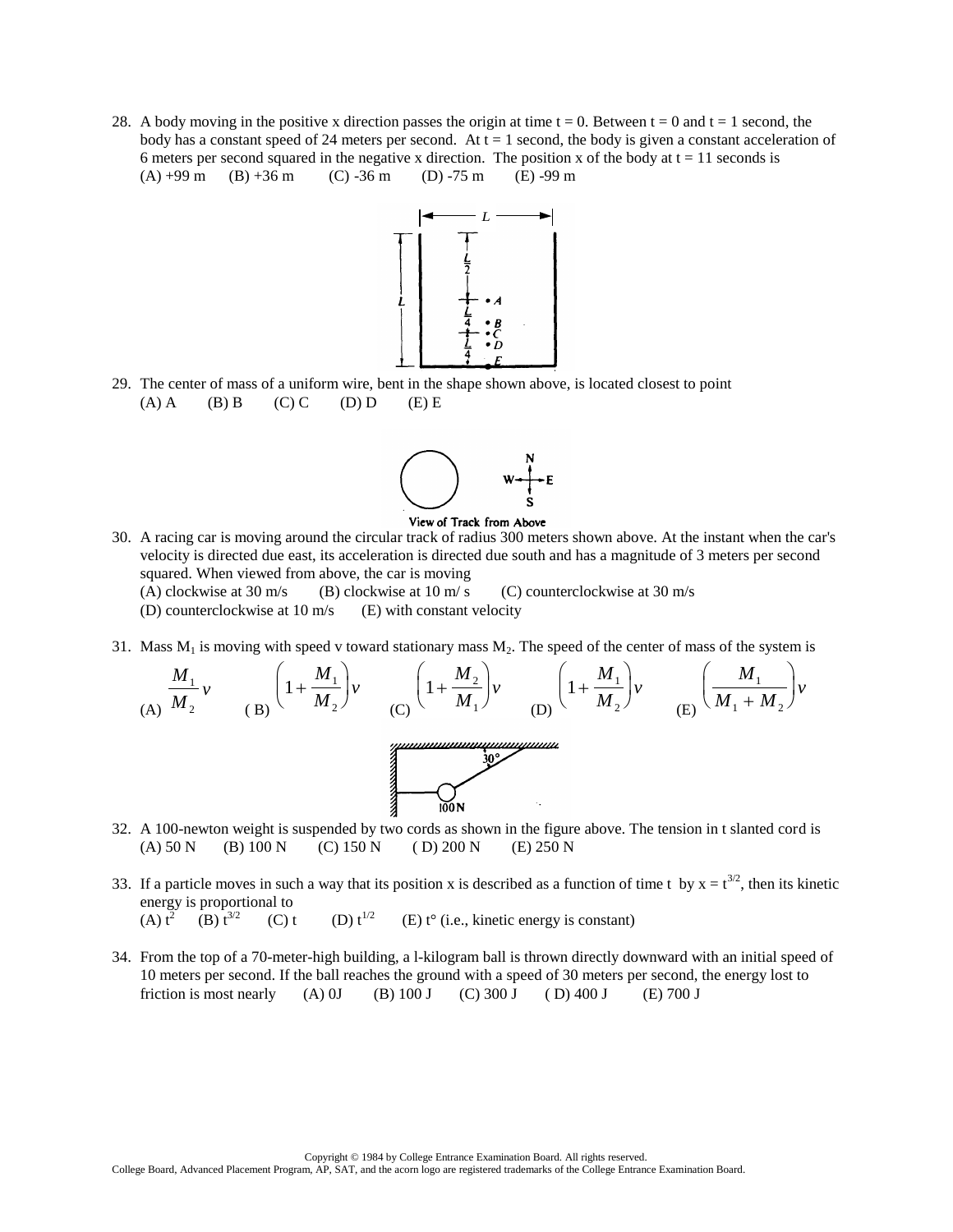28. A body moving in the positive x direction passes the origin at time  $t = 0$ . Between  $t = 0$  and  $t = 1$  second, the body has a constant speed of 24 meters per second. At  $t = 1$  second, the body is given a constant acceleration of 6 meters per second squared in the negative x direction. The position x of the body at  $t = 11$  seconds is  $(A) +99$  m  $(B) +36$  m  $(C) -36$  m  $(D) -75$  m  $(E) -99$  m



29. The center of mass of a uniform wire, bent in the shape shown above, is located closest to point  $(A) A$  (B) B (C) C (D) D (E) E





- 30. A racing car is moving around the circular track of radius 300 meters shown above. At the instant when the car's velocity is directed due east, its acceleration is directed due south and has a magnitude of 3 meters per second squared. When viewed from above, the car is moving
	- (A) clockwise at 30 m/s (B) clockwise at 10 m/ s (C) counterclockwise at 30 m/s
	- (D) counterclockwise at  $10 \text{ m/s}$  (E) with constant velocity
- 31. Mass  $M_1$  is moving with speed v toward stationary mass  $M_2$ . The speed of the center of mass of the system is

$$
\frac{M_1}{(A)}v \qquad \qquad (B)\left(1 + \frac{M_1}{M_2}\right)v \qquad \qquad (C)\left(1 + \frac{M_2}{M_1}\right)v \qquad \qquad (D)\left(1 + \frac{M_1}{M_2}\right)v \qquad \qquad (E)\left(\frac{M_1}{M_1 + M_2}\right)v
$$



- 32. A 100-newton weight is suspended by two cords as shown in the figure above. The tension in t slanted cord is (A) 50 N (B) 100 N (C) 150 N (D) 200 N (E) 250 N
- 33. If a particle moves in such a way that its position x is described as a function of time t by  $x = t^{3/2}$ , then its kinetic energy is proportional to (A)  $t^2$  (B)  $t^{3/2}$ (C) t (D)  $t^{1/2}$  (E) t° (i.e., kinetic energy is constant)
	-
- 34. From the top of a 70-meter-high building, a l-kilogram ball is thrown directly downward with an initial speed of 10 meters per second. If the ball reaches the ground with a speed of 30 meters per second, the energy lost to friction is most nearly (A) 0J (B) 100 J (C) 300 J (D) 400 J (E) 700 J